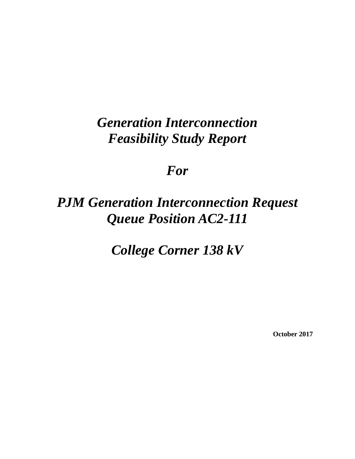# *Generation Interconnection Feasibility Study Report*

# *For*

# *PJM Generation Interconnection Request Queue Position AC2-111*

*College Corner 138 kV* 

**October 2017**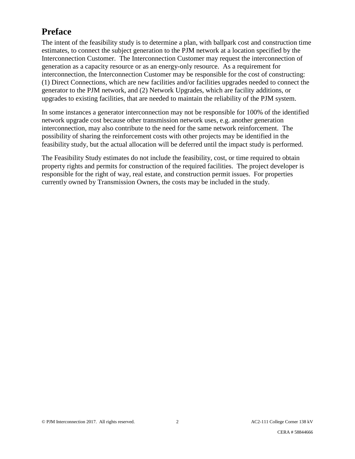# **Preface**

The intent of the feasibility study is to determine a plan, with ballpark cost and construction time estimates, to connect the subject generation to the PJM network at a location specified by the Interconnection Customer. The Interconnection Customer may request the interconnection of generation as a capacity resource or as an energy-only resource. As a requirement for interconnection, the Interconnection Customer may be responsible for the cost of constructing: (1) Direct Connections, which are new facilities and/or facilities upgrades needed to connect the generator to the PJM network, and (2) Network Upgrades, which are facility additions, or upgrades to existing facilities, that are needed to maintain the reliability of the PJM system.

In some instances a generator interconnection may not be responsible for 100% of the identified network upgrade cost because other transmission network uses, e.g. another generation interconnection, may also contribute to the need for the same network reinforcement. The possibility of sharing the reinforcement costs with other projects may be identified in the feasibility study, but the actual allocation will be deferred until the impact study is performed.

The Feasibility Study estimates do not include the feasibility, cost, or time required to obtain property rights and permits for construction of the required facilities. The project developer is responsible for the right of way, real estate, and construction permit issues. For properties currently owned by Transmission Owners, the costs may be included in the study.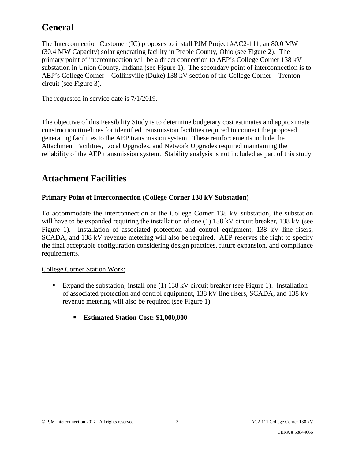# **General**

The Interconnection Customer (IC) proposes to install PJM Project #AC2-111, an 80.0 MW (30.4 MW Capacity) solar generating facility in Preble County, Ohio (see Figure 2). The primary point of interconnection will be a direct connection to AEP's College Corner 138 kV substation in Union County, Indiana (see Figure 1). The secondary point of interconnection is to AEP's College Corner – Collinsville (Duke) 138 kV section of the College Corner – Trenton circuit (see Figure 3).

The requested in service date is 7/1/2019.

The objective of this Feasibility Study is to determine budgetary cost estimates and approximate construction timelines for identified transmission facilities required to connect the proposed generating facilities to the AEP transmission system. These reinforcements include the Attachment Facilities, Local Upgrades, and Network Upgrades required maintaining the reliability of the AEP transmission system. Stability analysis is not included as part of this study.

## **Attachment Facilities**

#### **Primary Point of Interconnection (College Corner 138 kV Substation)**

To accommodate the interconnection at the College Corner 138 kV substation, the substation will have to be expanded requiring the installation of one (1) 138 kV circuit breaker, 138 kV (see Figure 1). Installation of associated protection and control equipment, 138 kV line risers, SCADA, and 138 kV revenue metering will also be required. AEP reserves the right to specify the final acceptable configuration considering design practices, future expansion, and compliance requirements.

#### College Corner Station Work:

- Expand the substation; install one (1) 138 kV circuit breaker (see Figure 1). Installation of associated protection and control equipment, 138 kV line risers, SCADA, and 138 kV revenue metering will also be required (see Figure 1).
	- **Estimated Station Cost: \$1,000,000**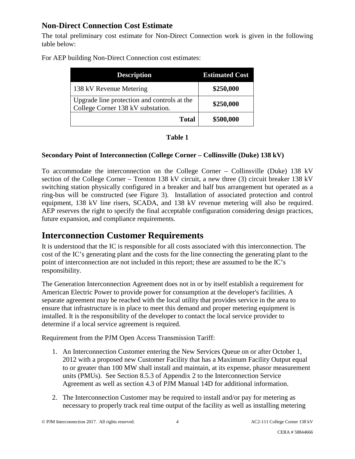## **Non-Direct Connection Cost Estimate**

The total preliminary cost estimate for Non-Direct Connection work is given in the following table below:

For AEP building Non-Direct Connection cost estimates:

| <b>Description</b>                                                               | <b>Estimated Cost</b> |
|----------------------------------------------------------------------------------|-----------------------|
| 138 kV Revenue Metering                                                          | \$250,000             |
| Upgrade line protection and controls at the<br>College Corner 138 kV substation. | \$250,000             |
| <b>Total</b>                                                                     | \$500,000             |

#### **Secondary Point of Interconnection (College Corner – Collinsville (Duke) 138 kV)**

To accommodate the interconnection on the College Corner – Collinsville (Duke) 138 kV section of the College Corner – Trenton 138 kV circuit, a new three (3) circuit breaker 138 kV switching station physically configured in a breaker and half bus arrangement but operated as a ring-bus will be constructed (see Figure 3). Installation of associated protection and control equipment, 138 kV line risers, SCADA, and 138 kV revenue metering will also be required. AEP reserves the right to specify the final acceptable configuration considering design practices, future expansion, and compliance requirements.

## **Interconnection Customer Requirements**

It is understood that the IC is responsible for all costs associated with this interconnection. The cost of the IC's generating plant and the costs for the line connecting the generating plant to the point of interconnection are not included in this report; these are assumed to be the IC's responsibility.

The Generation Interconnection Agreement does not in or by itself establish a requirement for American Electric Power to provide power for consumption at the developer's facilities. A separate agreement may be reached with the local utility that provides service in the area to ensure that infrastructure is in place to meet this demand and proper metering equipment is installed. It is the responsibility of the developer to contact the local service provider to determine if a local service agreement is required.

Requirement from the PJM Open Access Transmission Tariff:

- 1. An Interconnection Customer entering the New Services Queue on or after October 1, 2012 with a proposed new Customer Facility that has a Maximum Facility Output equal to or greater than 100 MW shall install and maintain, at its expense, phasor measurement units (PMUs). See Section 8.5.3 of Appendix 2 to the Interconnection Service Agreement as well as section 4.3 of PJM Manual 14D for additional information.
- 2. The Interconnection Customer may be required to install and/or pay for metering as necessary to properly track real time output of the facility as well as installing metering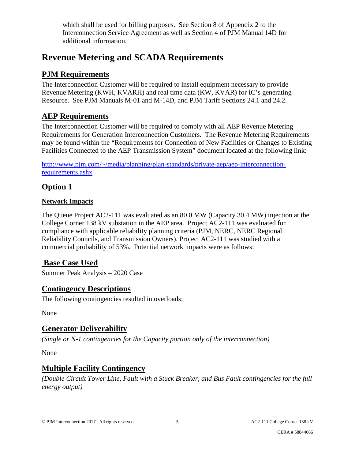which shall be used for billing purposes. See Section 8 of Appendix 2 to the Interconnection Service Agreement as well as Section 4 of PJM Manual 14D for additional information.

## **Revenue Metering and SCADA Requirements**

## **PJM Requirements**

The Interconnection Customer will be required to install equipment necessary to provide Revenue Metering (KWH, KVARH) and real time data (KW, KVAR) for IC's generating Resource. See PJM Manuals M-01 and M-14D, and PJM Tariff Sections 24.1 and 24.2.

## **AEP Requirements**

The Interconnection Customer will be required to comply with all AEP Revenue Metering Requirements for Generation Interconnection Customers. The Revenue Metering Requirements may be found within the "Requirements for Connection of New Facilities or Changes to Existing Facilities Connected to the AEP Transmission System" document located at the following link:

[http://www.pjm.com/~/media/planning/plan-standards/private-aep/aep-interconnection](http://www.pjm.com/%7E/media/planning/plan-standards/private-aep/aep-interconnection-requirements.ashx)[requirements.ashx](http://www.pjm.com/%7E/media/planning/plan-standards/private-aep/aep-interconnection-requirements.ashx)

## **Option 1**

#### **Network Impacts**

The Queue Project AC2-111 was evaluated as an 80.0 MW (Capacity 30.4 MW) injection at the College Corner 138 kV substation in the AEP area. Project AC2-111 was evaluated for compliance with applicable reliability planning criteria (PJM, NERC, NERC Regional Reliability Councils, and Transmission Owners). Project AC2-111 was studied with a commercial probability of 53%. Potential network impacts were as follows:

## **Base Case Used**

Summer Peak Analysis – 2020 Case

## **Contingency Descriptions**

The following contingencies resulted in overloads:

None

## **Generator Deliverability**

*(Single or N-1 contingencies for the Capacity portion only of the interconnection)* 

None

## **Multiple Facility Contingency**

*(Double Circuit Tower Line, Fault with a Stuck Breaker, and Bus Fault contingencies for the full energy output)*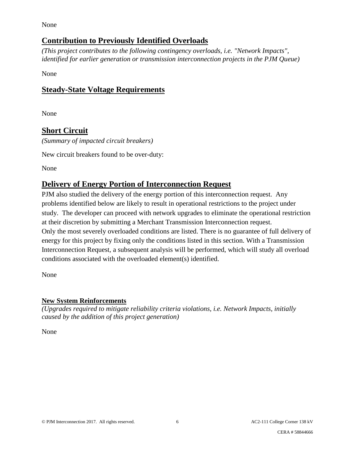None

## **Contribution to Previously Identified Overloads**

*(This project contributes to the following contingency overloads, i.e. "Network Impacts", identified for earlier generation or transmission interconnection projects in the PJM Queue)*

None

## **Steady-State Voltage Requirements**

None

## **Short Circuit**

*(Summary of impacted circuit breakers)* 

New circuit breakers found to be over-duty:

None

## **Delivery of Energy Portion of Interconnection Request**

PJM also studied the delivery of the energy portion of this interconnection request. Any problems identified below are likely to result in operational restrictions to the project under study. The developer can proceed with network upgrades to eliminate the operational restriction at their discretion by submitting a Merchant Transmission Interconnection request. Only the most severely overloaded conditions are listed. There is no guarantee of full delivery of energy for this project by fixing only the conditions listed in this section. With a Transmission Interconnection Request, a subsequent analysis will be performed, which will study all overload conditions associated with the overloaded element(s) identified.

None

## **New System Reinforcements**

*(Upgrades required to mitigate reliability criteria violations, i.e. Network Impacts, initially caused by the addition of this project generation)* 

None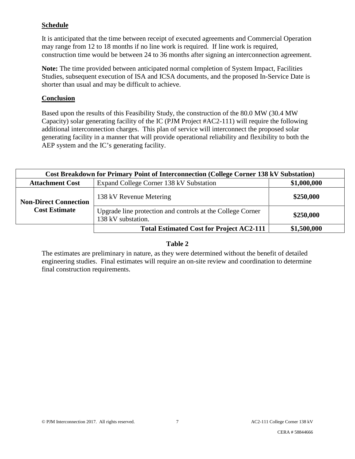#### **Schedule**

It is anticipated that the time between receipt of executed agreements and Commercial Operation may range from 12 to 18 months if no line work is required. If line work is required, construction time would be between 24 to 36 months after signing an interconnection agreement.

**Note:** The time provided between anticipated normal completion of System Impact, Facilities Studies, subsequent execution of ISA and ICSA documents, and the proposed In-Service Date is shorter than usual and may be difficult to achieve.

#### **Conclusion**

Based upon the results of this Feasibility Study, the construction of the 80.0 MW (30.4 MW Capacity) solar generating facility of the IC (PJM Project #AC2-111) will require the following additional interconnection charges. This plan of service will interconnect the proposed solar generating facility in a manner that will provide operational reliability and flexibility to both the AEP system and the IC's generating facility.

| <b>Cost Breakdown for Primary Point of Interconnection (College Corner 138 kV Substation)</b> |                                                                                  |             |
|-----------------------------------------------------------------------------------------------|----------------------------------------------------------------------------------|-------------|
| <b>Attachment Cost</b>                                                                        | Expand College Corner 138 kV Substation                                          | \$1,000,000 |
| <b>Non-Direct Connection</b><br><b>Cost Estimate</b>                                          | 138 kV Revenue Metering                                                          | \$250,000   |
|                                                                                               | Upgrade line protection and controls at the College Corner<br>138 kV substation. | \$250,000   |
|                                                                                               | <b>Total Estimated Cost for Project AC2-111</b>                                  | \$1,500,000 |

#### **Table 2**

The estimates are preliminary in nature, as they were determined without the benefit of detailed engineering studies. Final estimates will require an on-site review and coordination to determine final construction requirements.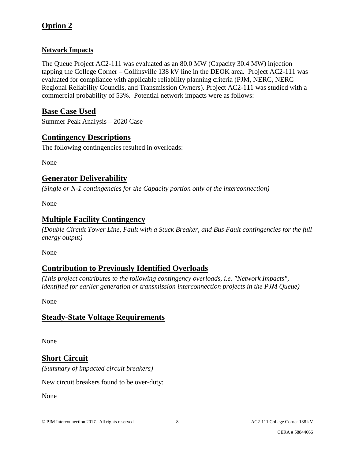## **Option 2**

### **Network Impacts**

The Queue Project AC2-111 was evaluated as an 80.0 MW (Capacity 30.4 MW) injection tapping the College Corner – Collinsville 138 kV line in the DEOK area. Project AC2-111 was evaluated for compliance with applicable reliability planning criteria (PJM, NERC, NERC Regional Reliability Councils, and Transmission Owners). Project AC2-111 was studied with a commercial probability of 53%. Potential network impacts were as follows:

## **Base Case Used**

Summer Peak Analysis – 2020 Case

## **Contingency Descriptions**

The following contingencies resulted in overloads:

None

## **Generator Deliverability**

*(Single or N-1 contingencies for the Capacity portion only of the interconnection)* 

None

## **Multiple Facility Contingency**

*(Double Circuit Tower Line, Fault with a Stuck Breaker, and Bus Fault contingencies for the full energy output)* 

None

## **Contribution to Previously Identified Overloads**

*(This project contributes to the following contingency overloads, i.e. "Network Impacts", identified for earlier generation or transmission interconnection projects in the PJM Queue)* 

None

## **Steady-State Voltage Requirements**

None

## **Short Circuit**

*(Summary of impacted circuit breakers)* 

New circuit breakers found to be over-duty:

None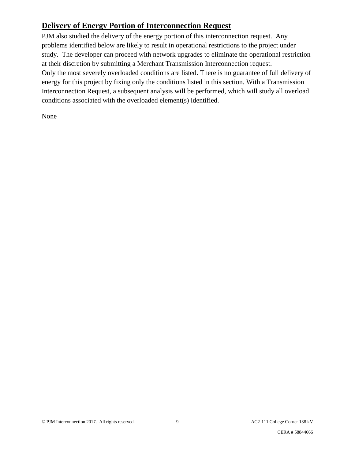## **Delivery of Energy Portion of Interconnection Request**

PJM also studied the delivery of the energy portion of this interconnection request. Any problems identified below are likely to result in operational restrictions to the project under study. The developer can proceed with network upgrades to eliminate the operational restriction at their discretion by submitting a Merchant Transmission Interconnection request. Only the most severely overloaded conditions are listed. There is no guarantee of full delivery of energy for this project by fixing only the conditions listed in this section. With a Transmission Interconnection Request, a subsequent analysis will be performed, which will study all overload conditions associated with the overloaded element(s) identified.

None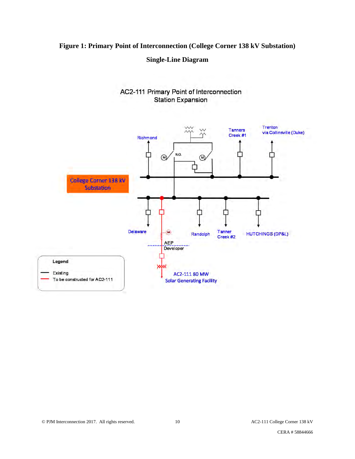## **Figure 1: Primary Point of Interconnection (College Corner 138 kV Substation)**

#### **Single-Line Diagram**



#### AC2-111 Primary Point of Interconnection **Station Expansion**

CERA # 58844666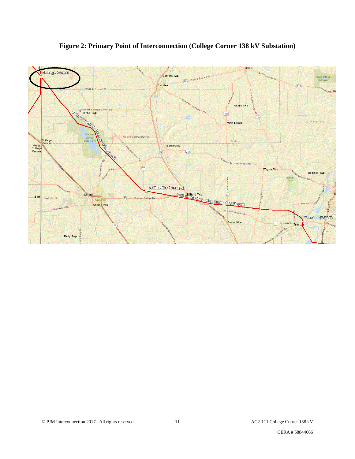

**Figure 2: Primary Point of Interconnection (College Corner 138 kV Substation)** 

CERA # 58844666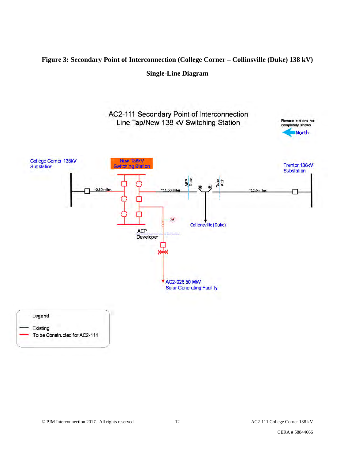## **Figure 3: Secondary Point of Interconnection (College Corner – Collinsville (Duke) 138 kV) Single-Line Diagram**

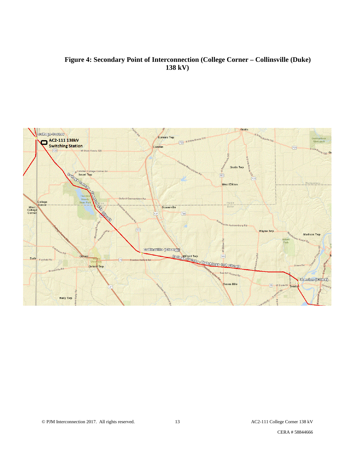#### **Figure 4: Secondary Point of Interconnection (College Corner – Collinsville (Duke) 138 kV)**



CERA # 58844666